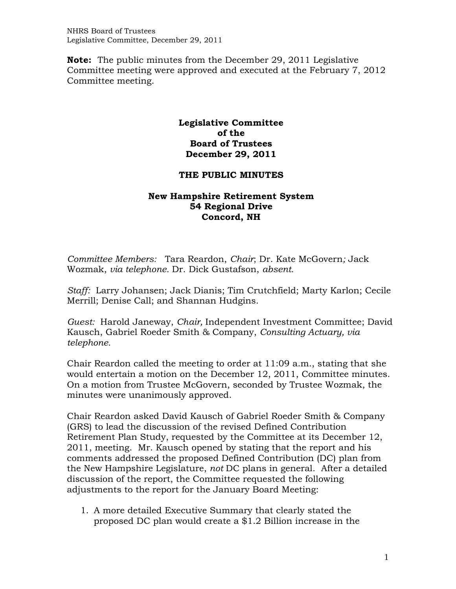NHRS Board of Trustees Legislative Committee, December 29, 2011

**Note:** The public minutes from the December 29, 2011 Legislative Committee meeting were approved and executed at the February 7, 2012 Committee meeting.

## **Legislative Committee of the Board of Trustees December 29, 2011**

## **THE PUBLIC MINUTES**

## **New Hampshire Retirement System 54 Regional Drive Concord, NH**

*Committee Members:* Tara Reardon, *Chair*; Dr. Kate McGovern*;* Jack Wozmak, *via telephone.* Dr. Dick Gustafson, *absent.* 

*Staff:* Larry Johansen; Jack Dianis; Tim Crutchfield; Marty Karlon; Cecile Merrill; Denise Call; and Shannan Hudgins.

*Guest:* Harold Janeway, *Chair,* Independent Investment Committee; David Kausch, Gabriel Roeder Smith & Company, *Consulting Actuary, via telephone.* 

Chair Reardon called the meeting to order at 11:09 a.m., stating that she would entertain a motion on the December 12, 2011, Committee minutes. On a motion from Trustee McGovern, seconded by Trustee Wozmak, the minutes were unanimously approved.

Chair Reardon asked David Kausch of Gabriel Roeder Smith & Company (GRS) to lead the discussion of the revised Defined Contribution Retirement Plan Study, requested by the Committee at its December 12, 2011, meeting. Mr. Kausch opened by stating that the report and his comments addressed the proposed Defined Contribution (DC) plan from the New Hampshire Legislature, *not* DC plans in general. After a detailed discussion of the report, the Committee requested the following adjustments to the report for the January Board Meeting:

1. A more detailed Executive Summary that clearly stated the proposed DC plan would create a \$1.2 Billion increase in the